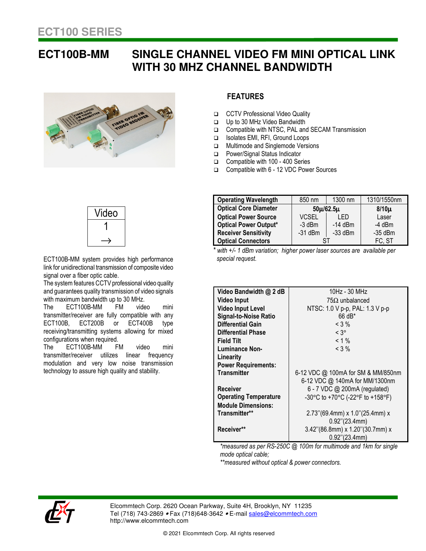## **ECT100B-MM SINGLE CHANNEL VIDEO FM MINI OPTICAL LINK WITH 30 MHZ CHANNEL BANDWIDTH**





ECT100B-MM system provides high performance link for unidirectional transmission of composite video signal over a fiber optic cable.

The system features CCTV professional video quality and guarantees quality transmission of video signals with maximum bandwidth up to 30 MHz.<br>The ECT100B-MM FM video

configurations when required.<br>The COT100D MM ECT100B-MM FM video mini transmitter/receiver are fully compatible with any ECT100B, ECT200B or ECT400B type receiving/transmitting systems allowing for mixed

The ECT100B-MM FM video mini transmitter/receiver utilizes linear frequency modulation and very low noise transmission technology to assure high quality and stability.

## **FEATURES**

- □ CCTV Professional Video Quality
- □ Up to 30 MHz Video Bandwidth<br>□ Compatible with NTSC. PAL and
- Compatible with NTSC, PAL and SECAM Transmission
- Isolates EMI, RFI, Ground Loops
- **In Multimode and Singlemode Versions**
- Power/Signal Status Indicator
- Compatible with 100 400 Series
- Compatible with 6 12 VDC Power Sources

| <b>Operating Wavelength</b>  | 850 nm          | 1300 nm   | 1310/1550nm |
|------------------------------|-----------------|-----------|-------------|
| <b>Optical Core Diameter</b> | $50\mu/62.5\mu$ |           | $8/10\mu$   |
| <b>Optical Power Source</b>  | <b>VCSEL</b>    | I FD      | Laser       |
| <b>Optical Power Output*</b> | $-3$ dBm        | $-14$ dBm | $-4$ dBm    |
| <b>Receiver Sensitivity</b>  | $-31$ dBm       | $-33$ dBm | $-35$ dBm   |
| <b>Optical Connectors</b>    |                 |           | FC, ST      |

 *\* with +/- 1 dBm variation; higher power laser sources are available per special request.*

| Video Bandwidth @ 2 dB       | 10Hz - 30 MHz                      |  |
|------------------------------|------------------------------------|--|
| Video Input                  | $75\Omega$ unbalanced              |  |
| <b>Video Input Level</b>     | NTSC: 1.0 V p-p, PAL: 1.3 V p-p    |  |
| <b>Signal-to-Noise Ratio</b> | 66 dB*                             |  |
| Differential Gain            | $<$ 3 %                            |  |
| Differential Phase           | $< 3^{\circ}$                      |  |
| Field Tilt                   | $< 1 \%$                           |  |
| <b>Luminance Non-</b>        | $< 3\%$                            |  |
| Linearitv                    |                                    |  |
| <b>Power Requirements:</b>   |                                    |  |
| <b>Transmitter</b>           | 6-12 VDC @ 100mA for SM & MM/850nm |  |
|                              | 6-12 VDC @ 140mA for MM/1300nm     |  |
| Receiver                     | 6 - 7 VDC @ 200mA (regulated)      |  |
| <b>Operating Temperature</b> | -30°C to +70°C (-22°F to +158°F)   |  |
| <b>Module Dimensions:</b>    |                                    |  |
| Transmitter**                | $2.73$ "(69.4mm) x 1.0"(25.4mm) x  |  |
|                              | $0.92$ "(23.4mm)                   |  |
| Receiver**                   | 3.42"(86.8mm) x 1.20"(30.7mm) x    |  |
|                              | $0.92$ "(23.4mm)                   |  |

*\*measured as per RS-250C @ 100m for multimode and 1km for single mode optical cable;* 

*\*\*measured without optical & power connectors.* 



Elcommtech Corp. 2620 Ocean Parkway, Suite 4H, Brooklyn, NY 11235 Tel (718) 743-2869 • Fax (718) 648-3642 • E-mail sales@elcommtech.com http://www.elcommtech.com

© 2021 Elcommtech Corp. All rights reserved